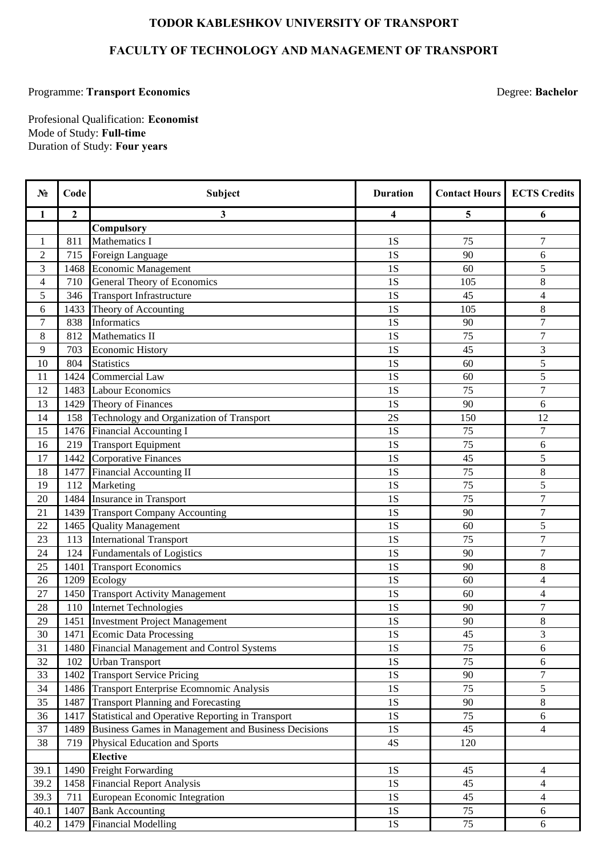## **TODOR KABLESHKOV UNIVERSITY OF TRANSPORT**

## **FACULTY OF TECHNOLOGY AND MANAGEMENT OF TRANSPORT**

## Programme: **Transport Economics** Degree: **Bachelor**

Duration of Study: **Four years** Mode of Study: **Full-time** Profesional Qualification: **Economist**

| N <sub>2</sub>           | Code             | Subject                                             | <b>Duration</b> | <b>Contact Hours</b> | <b>ECTS Credits</b> |
|--------------------------|------------------|-----------------------------------------------------|-----------------|----------------------|---------------------|
| 1                        | $\boldsymbol{2}$ | 3                                                   | 4               | 5                    | 6                   |
|                          |                  | Compulsory                                          |                 |                      |                     |
| 1                        | 811              | Mathematics I                                       | 1S              | 75                   | 7                   |
| $\overline{2}$           | 715              | Foreign Language                                    | 1S              | 90                   | 6                   |
| 3                        | 1468             | <b>Economic Management</b>                          | 1S              | 60                   | 5                   |
| $\overline{\mathcal{L}}$ | 710              | General Theory of Economics                         | 1S              | 105                  | 8                   |
| 5                        | 346              | <b>Transport Infrastructure</b>                     | 1S              | 45                   | $\overline{4}$      |
| 6                        | 1433             | Theory of Accounting                                | 1S              | 105                  | $8\,$               |
| 7                        | 838              | Informatics                                         | 1S              | 90                   | 7                   |
| $8\,$                    | 812              | Mathematics II                                      | 1S              | 75                   | $\overline{7}$      |
| 9                        | 703              | <b>Economic History</b>                             | 1S              | 45                   | 3                   |
| 10                       | 804              | <b>Statistics</b>                                   | 1S              | 60                   | 5                   |
| 11                       | 1424             | Commercial Law                                      | 1S              | 60                   | 5                   |
| 12                       | 1483             | <b>Labour Economics</b>                             | 1S              | 75                   | 7                   |
| 13                       | 1429             | Theory of Finances                                  | 1S              | 90                   | 6                   |
| 14                       | 158              | Technology and Organization of Transport            | 2S              | 150                  | 12                  |
| 15                       | 1476             | <b>Financial Accounting I</b>                       | 1S              | 75                   | 7                   |
| 16                       | 219              | <b>Transport Equipment</b>                          | 1S              | 75                   | 6                   |
| 17                       | 1442             | <b>Corporative Finances</b>                         | 1S              | 45                   | 5                   |
| 18                       | 1477             | Financial Accounting II                             | 1S              | 75                   | 8                   |
| 19                       | 112              | Marketing                                           | 1S              | 75                   | 5                   |
| 20                       | 1484             | Insurance in Transport                              | 1S              | 75                   | $\overline{7}$      |
| 21                       | 1439             | <b>Transport Company Accounting</b>                 | 1S              | 90                   | 7                   |
| 22                       | 1465             | <b>Quality Management</b>                           | 1S              | 60                   | 5                   |
| 23                       | 113              | <b>International Transport</b>                      | 1S              | 75                   | 7                   |
| 24                       | 124              | <b>Fundamentals of Logistics</b>                    | 1S              | 90                   | $\overline{7}$      |
| 25                       | 1401             | <b>Transport Economics</b>                          | 1S              | 90                   | 8                   |
| 26                       | 1209             | Ecology                                             | 1S              | 60                   | $\overline{4}$      |
| 27                       | 1450             | <b>Transport Activity Management</b>                | 1S              | 60                   | 4                   |
| 28                       | 110              | <b>Internet Technologies</b>                        | 1S              | 90                   | $\overline{7}$      |
| 29                       | 1451             | <b>Investment Project Management</b>                | 1S              | 90                   | 8                   |
| $30\,$                   | 1471             | <b>Ecomic Data Processing</b>                       | 1S              | 45                   | 3                   |
| 31                       | 1480             | Financial Management and Control Systems            | 1S              | 75                   | 6                   |
| 32                       | 102              | <b>Urban Transport</b>                              | 1S              | 75                   | 6                   |
| 33                       | 1402             | <b>Transport Service Pricing</b>                    | 1S              | 90                   | $\tau$              |
| 34                       | 1486             | Transport Enterprise Ecomnomic Analysis             | 1S              | 75                   | 5                   |
| 35                       | 1487             | <b>Transport Planning and Forecasting</b>           | 1S              | 90                   | 8                   |
| 36                       | 1417             | Statistical and Operative Reporting in Transport    | 1S              | 75                   | 6                   |
| 37                       | 1489             | Business Games in Management and Business Decisions | $1S$            | 45                   | $\overline{4}$      |
| 38                       | 719              | Physical Education and Sports                       | 4S              | 120                  |                     |
|                          |                  | <b>Elective</b>                                     |                 |                      |                     |
| 39.1                     | 1490             | <b>Freight Forwarding</b>                           | 1S              | 45                   | 4                   |
| 39.2                     |                  | 1458 Financial Report Analysis                      | 1S              | 45                   | $\overline{4}$      |
| 39.3                     | 711              | European Economic Integration                       | 1S              | 45                   | $\overline{4}$      |
| 40.1                     | 1407             | <b>Bank Accounting</b>                              | 1S              | 75                   | 6                   |
| 40.2                     | 1479             | <b>Financial Modelling</b>                          | 1S              | 75                   | 6                   |